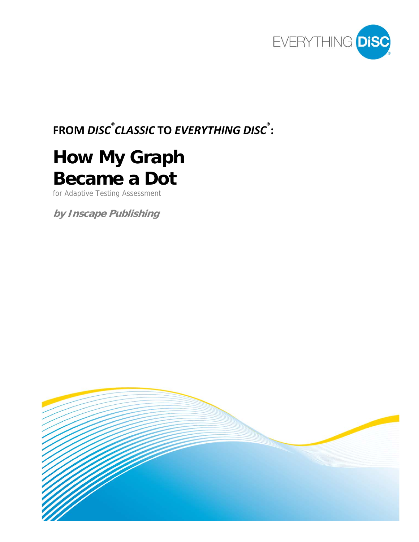

# **FROM** *DISC ® CLASSIC* **TO** *EVERYTHING DISC* **® :**

# **How My Graph Became a Dot**

for Adaptive Testing Assessment

**by Inscape Publishing** 

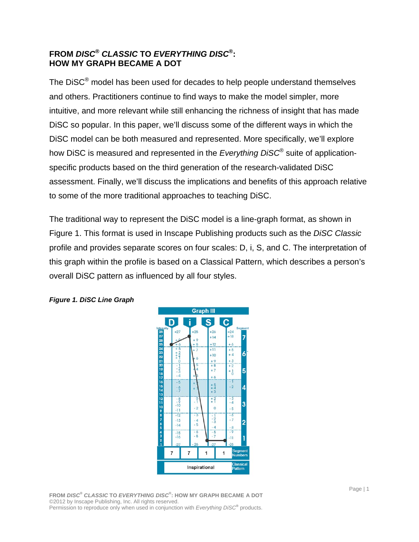#### **FROM** *DISC***®** *CLASSIC* **TO** *EVERYTHING DISC***®: HOW MY GRAPH BECAME A DOT**

The DiSC® model has been used for decades to help people understand themselves and others. Practitioners continue to find ways to make the model simpler, more intuitive, and more relevant while still enhancing the richness of insight that has made DiSC so popular. In this paper, we'll discuss some of the different ways in which the DiSC model can be both measured and represented. More specifically, we'll explore how DiSC is measured and represented in the *Everything DiSC*® suite of applicationspecific products based on the third generation of the research-validated DiSC assessment. Finally, we'll discuss the implications and benefits of this approach relative to some of the more traditional approaches to teaching DiSC.

The traditional way to represent the DiSC model is a line-graph format, as shown in Figure 1. This format is used in Inscape Publishing products such as the *DiSC Classic* profile and provides separate scores on four scales: D, i, S, and C. The interpretation of this graph within the profile is based on a Classical Pattern, which describes a person's overall DiSC pattern as influenced by all four styles.



#### *Figure 1. DiSC Line Graph*

**FROM** *DISC***®** *CLASSIC* **TO** *EVERYTHING DISC***® : HOW MY GRAPH BECAME A DOT**  ©2012 by Inscape Publishing, Inc. All rights reserved. Permission to reproduce only when used in conjunction with *Everything DiSC***®** products.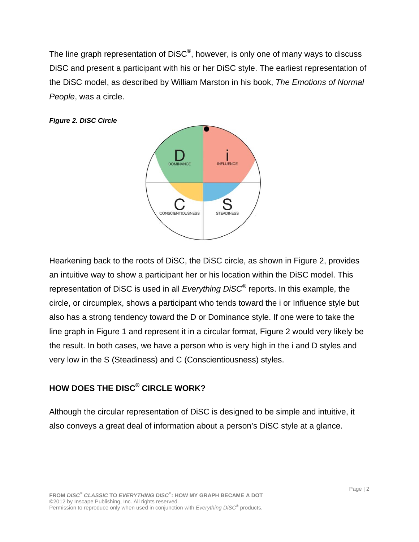The line graph representation of DiSC®, however, is only one of many ways to discuss DiSC and present a participant with his or her DiSC style. The earliest representation of the DiSC model, as described by William Marston in his book, *The Emotions of Normal People*, was a circle.

*Figure 2. DiSC Circle* 



Hearkening back to the roots of DiSC, the DiSC circle, as shown in Figure 2, provides an intuitive way to show a participant her or his location within the DiSC model. This representation of DiSC is used in all *Everything DiSC*® reports. In this example, the circle, or circumplex, shows a participant who tends toward the i or Influence style but also has a strong tendency toward the D or Dominance style. If one were to take the line graph in Figure 1 and represent it in a circular format, Figure 2 would very likely be the result. In both cases, we have a person who is very high in the i and D styles and very low in the S (Steadiness) and C (Conscientiousness) styles.

# **HOW DOES THE DISC® CIRCLE WORK?**

Although the circular representation of DiSC is designed to be simple and intuitive, it also conveys a great deal of information about a person's DiSC style at a glance.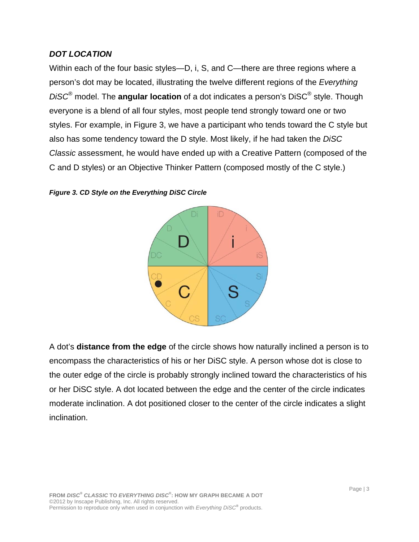#### *DOT LOCATION*

Within each of the four basic styles—D, i, S, and C—there are three regions where a person's dot may be located, illustrating the twelve different regions of the *Everything DiSC*® model. The **angular location** of a dot indicates a person's DiSC® style. Though everyone is a blend of all four styles, most people tend strongly toward one or two styles. For example, in Figure 3, we have a participant who tends toward the C style but also has some tendency toward the D style. Most likely, if he had taken the *DiSC Classic* assessment, he would have ended up with a Creative Pattern (composed of the C and D styles) or an Objective Thinker Pattern (composed mostly of the C style.)





A dot's **distance from the edge** of the circle shows how naturally inclined a person is to encompass the characteristics of his or her DiSC style. A person whose dot is close to the outer edge of the circle is probably strongly inclined toward the characteristics of his or her DiSC style. A dot located between the edge and the center of the circle indicates moderate inclination. A dot positioned closer to the center of the circle indicates a slight inclination.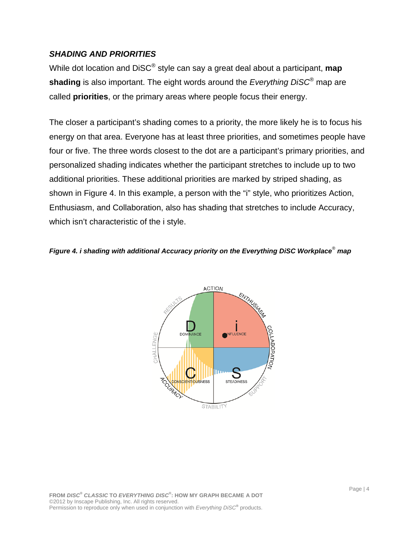#### *SHADING AND PRIORITIES*

While dot location and DiSC® style can say a great deal about a participant, **map shading** is also important. The eight words around the *Everything DiSC*® map are called **priorities**, or the primary areas where people focus their energy.

The closer a participant's shading comes to a priority, the more likely he is to focus his energy on that area. Everyone has at least three priorities, and sometimes people have four or five. The three words closest to the dot are a participant's primary priorities, and personalized shading indicates whether the participant stretches to include up to two additional priorities. These additional priorities are marked by striped shading, as shown in Figure 4. In this example, a person with the "i" style, who prioritizes Action, Enthusiasm, and Collaboration, also has shading that stretches to include Accuracy, which isn't characteristic of the i style.

#### *Figure 4. i shading with additional Accuracy priority on the Everything DiSC Workplace*® *map*

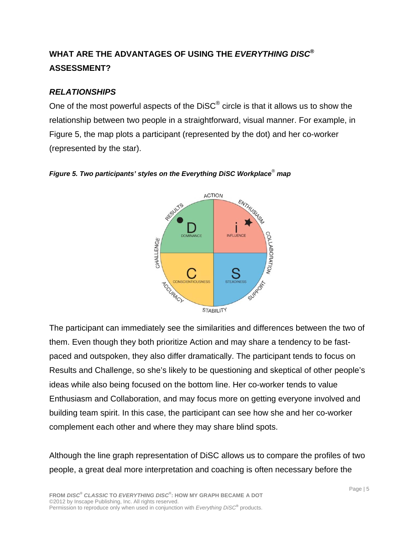# **WHAT ARE THE ADVANTAGES OF USING THE** *EVERYTHING DISC***® ASSESSMENT?**

#### *RELATIONSHIPS*

One of the most powerful aspects of the  $DISC^{\odot}$  circle is that it allows us to show the relationship between two people in a straightforward, visual manner. For example, in Figure 5, the map plots a participant (represented by the dot) and her co-worker (represented by the star).



#### *Figure 5. Two participants' styles on the Everything DiSC Workplace*®  *map*

The participant can immediately see the similarities and differences between the two of them. Even though they both prioritize Action and may share a tendency to be fastpaced and outspoken, they also differ dramatically. The participant tends to focus on Results and Challenge, so she's likely to be questioning and skeptical of other people's ideas while also being focused on the bottom line. Her co-worker tends to value Enthusiasm and Collaboration, and may focus more on getting everyone involved and building team spirit. In this case, the participant can see how she and her co-worker complement each other and where they may share blind spots.

Although the line graph representation of DiSC allows us to compare the profiles of two people, a great deal more interpretation and coaching is often necessary before the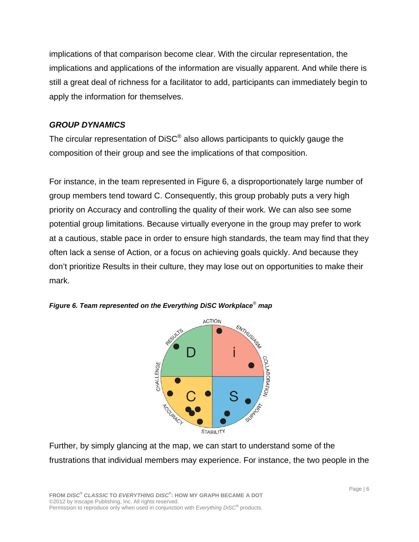implications of that comparison become clear. With the circular representation, the implications and applications of the information are visually apparent. And while there is still a great deal of richness for a facilitator to add, participants can immediately begin to apply the information for themselves.

#### *GROUP DYNAMICS*

The circular representation of DiSC<sup>®</sup> also allows participants to quickly gauge the composition of their group and see the implications of that composition.

For instance, in the team represented in Figure 6, a disproportionately large number of group members tend toward C. Consequently, this group probably puts a very high priority on Accuracy and controlling the quality of their work. We can also see some potential group limitations. Because virtually everyone in the group may prefer to work at a cautious, stable pace in order to ensure high standards, the team may find that they often lack a sense of Action, or a focus on achieving goals quickly. And because they don't prioritize Results in their culture, they may lose out on opportunities to make their mark.





Further, by simply glancing at the map, we can start to understand some of the frustrations that individual members may experience. For instance, the two people in the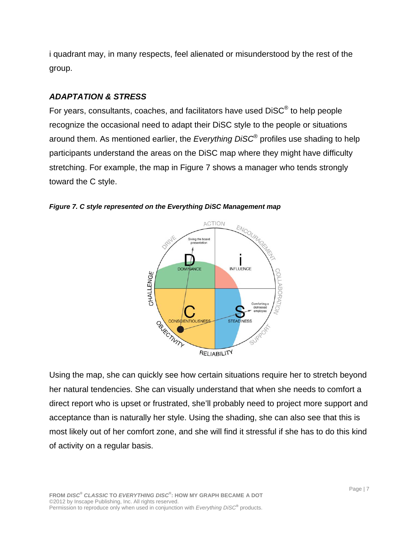i quadrant may, in many respects, feel alienated or misunderstood by the rest of the group.

#### *ADAPTATION & STRESS*

For years, consultants, coaches, and facilitators have used DiSC® to help people recognize the occasional need to adapt their DiSC style to the people or situations around them. As mentioned earlier, the *Everything DiSC*® profiles use shading to help participants understand the areas on the DiSC map where they might have difficulty stretching. For example, the map in Figure 7 shows a manager who tends strongly toward the C style.





Using the map, she can quickly see how certain situations require her to stretch beyond her natural tendencies. She can visually understand that when she needs to comfort a direct report who is upset or frustrated, she'll probably need to project more support and acceptance than is naturally her style. Using the shading, she can also see that this is most likely out of her comfort zone, and she will find it stressful if she has to do this kind of activity on a regular basis.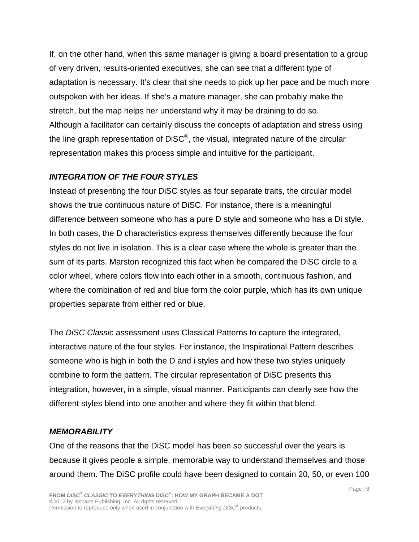If, on the other hand, when this same manager is giving a board presentation to a group of very driven, results-oriented executives, she can see that a different type of adaptation is necessary. It's clear that she needs to pick up her pace and be much more outspoken with her ideas. If she's a mature manager, she can probably make the stretch, but the map helps her understand why it may be draining to do so. Although a facilitator can certainly discuss the concepts of adaptation and stress using the line graph representation of DiSC®, the visual, integrated nature of the circular representation makes this process simple and intuitive for the participant.

# *INTEGRATION OF THE FOUR STYLES*

Instead of presenting the four DiSC styles as four separate traits, the circular model shows the true continuous nature of DiSC. For instance, there is a meaningful difference between someone who has a pure D style and someone who has a Di style. In both cases, the D characteristics express themselves differently because the four styles do not live in isolation. This is a clear case where the whole is greater than the sum of its parts. Marston recognized this fact when he compared the DiSC circle to a color wheel, where colors flow into each other in a smooth, continuous fashion, and where the combination of red and blue form the color purple, which has its own unique properties separate from either red or blue.

The *DiSC Classic* assessment uses Classical Patterns to capture the integrated, interactive nature of the four styles. For instance, the Inspirational Pattern describes someone who is high in both the D and i styles and how these two styles uniquely combine to form the pattern. The circular representation of DiSC presents this integration, however, in a simple, visual manner. Participants can clearly see how the different styles blend into one another and where they fit within that blend.

#### *MEMORABILITY*

One of the reasons that the DiSC model has been so successful over the years is because it gives people a simple, memorable way to understand themselves and those around them. The DiSC profile could have been designed to contain 20, 50, or even 100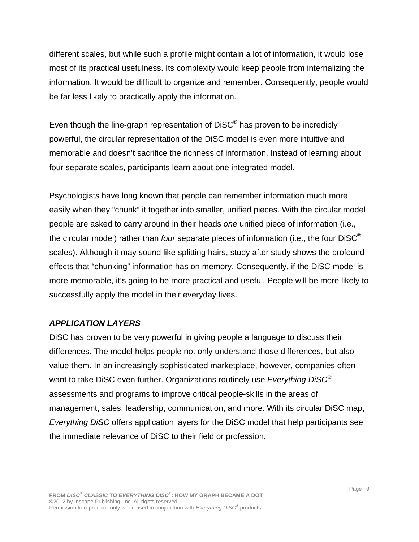different scales, but while such a profile might contain a lot of information, it would lose most of its practical usefulness. Its complexity would keep people from internalizing the information. It would be difficult to organize and remember. Consequently, people would be far less likely to practically apply the information.

Even though the line-graph representation of DiSC<sup>®</sup> has proven to be incredibly powerful, the circular representation of the DiSC model is even more intuitive and memorable and doesn't sacrifice the richness of information. Instead of learning about four separate scales, participants learn about one integrated model.

Psychologists have long known that people can remember information much more easily when they "chunk" it together into smaller, unified pieces. With the circular model people are asked to carry around in their heads *one* unified piece of information (i.e., the circular model) rather than *four* separate pieces of information (i.e., the four DiSC® scales). Although it may sound like splitting hairs, study after study shows the profound effects that "chunking" information has on memory. Consequently, if the DiSC model is more memorable, it's going to be more practical and useful. People will be more likely to successfully apply the model in their everyday lives.

#### *APPLICATION LAYERS*

DiSC has proven to be very powerful in giving people a language to discuss their differences. The model helps people not only understand those differences, but also value them. In an increasingly sophisticated marketplace, however, companies often want to take DiSC even further. Organizations routinely use *Everything DiSC*® assessments and programs to improve critical people-skills in the areas of management, sales, leadership, communication, and more. With its circular DiSC map, *Everything DiSC* offers application layers for the DiSC model that help participants see the immediate relevance of DiSC to their field or profession.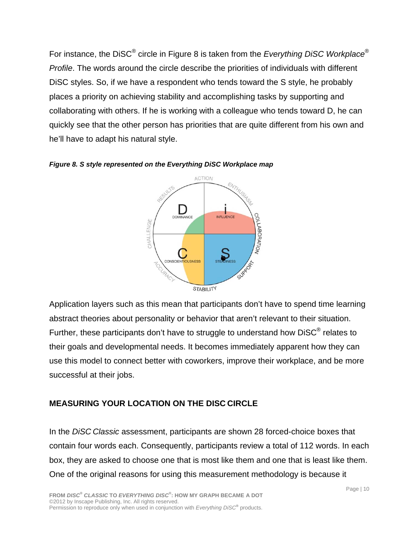For instance, the DiSC® circle in Figure 8 is taken from the *Everything DiSC Workplace*® *Profile*. The words around the circle describe the priorities of individuals with different DiSC styles. So, if we have a respondent who tends toward the S style, he probably places a priority on achieving stability and accomplishing tasks by supporting and collaborating with others. If he is working with a colleague who tends toward D, he can quickly see that the other person has priorities that are quite different from his own and he'll have to adapt his natural style.



*Figure 8. S style represented on the Everything DiSC Workplace map* 

Application layers such as this mean that participants don't have to spend time learning abstract theories about personality or behavior that aren't relevant to their situation. Further, these participants don't have to struggle to understand how DiSC<sup>®</sup> relates to their goals and developmental needs. It becomes immediately apparent how they can use this model to connect better with coworkers, improve their workplace, and be more successful at their jobs.

# **MEASURING YOUR LOCATION ON THE DISC CIRCLE**

In the *DiSC Classic* assessment, participants are shown 28 forced-choice boxes that contain four words each. Consequently, participants review a total of 112 words. In each box, they are asked to choose one that is most like them and one that is least like them. One of the original reasons for using this measurement methodology is because it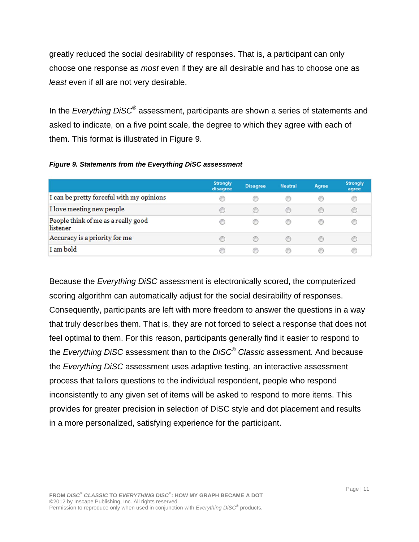greatly reduced the social desirability of responses. That is, a participant can only choose one response as *most* even if they are all desirable and has to choose one as *least* even if all are not very desirable.

In the *Everything DiSC*® assessment, participants are shown a series of statements and asked to indicate, on a five point scale, the degree to which they agree with each of them. This format is illustrated in Figure 9.

| <b>Figure 9. Statements from the Everything DiSC assessment</b> |  |  |  |  |
|-----------------------------------------------------------------|--|--|--|--|
|-----------------------------------------------------------------|--|--|--|--|

|                                                 | <b>Strongly</b><br>disagree | <b>Disagree</b> | <b>Neutral</b> | Agree | <b>Strongly</b><br>agree |
|-------------------------------------------------|-----------------------------|-----------------|----------------|-------|--------------------------|
| I can be pretty forceful with my opinions       | 0                           | C               |                |       | œ                        |
| I love meeting new people                       | $\circ$                     | ⋒               |                |       |                          |
| People think of me as a really good<br>listener |                             | O               |                |       |                          |
| Accuracy is a priority for me                   |                             |                 |                |       |                          |
| I am bold                                       |                             |                 |                |       |                          |

Because the *Everything DiSC* assessment is electronically scored, the computerized scoring algorithm can automatically adjust for the social desirability of responses. Consequently, participants are left with more freedom to answer the questions in a way that truly describes them. That is, they are not forced to select a response that does not feel optimal to them. For this reason, participants generally find it easier to respond to the *Everything DiSC* assessment than to the *DiSC*® *Classic* assessment. And because the *Everything DiSC* assessment uses adaptive testing, an interactive assessment process that tailors questions to the individual respondent, people who respond inconsistently to any given set of items will be asked to respond to more items. This provides for greater precision in selection of DiSC style and dot placement and results in a more personalized, satisfying experience for the participant.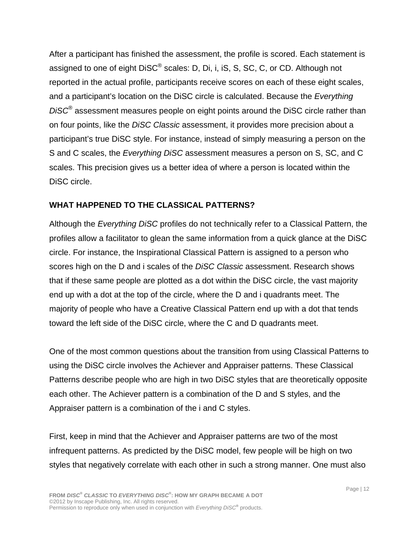After a participant has finished the assessment, the profile is scored. Each statement is assigned to one of eight DiSC® scales: D, Di, i, iS, S, SC, C, or CD. Although not reported in the actual profile, participants receive scores on each of these eight scales, and a participant's location on the DiSC circle is calculated. Because the *Everything DiSC*® assessment measures people on eight points around the DiSC circle rather than on four points, like the *DiSC Classic* assessment, it provides more precision about a participant's true DiSC style. For instance, instead of simply measuring a person on the S and C scales, the *Everything DiSC* assessment measures a person on S, SC, and C scales. This precision gives us a better idea of where a person is located within the DiSC circle.

# **WHAT HAPPENED TO THE CLASSICAL PATTERNS?**

Although the *Everything DiSC* profiles do not technically refer to a Classical Pattern, the profiles allow a facilitator to glean the same information from a quick glance at the DiSC circle. For instance, the Inspirational Classical Pattern is assigned to a person who scores high on the D and i scales of the *DiSC Classic* assessment. Research shows that if these same people are plotted as a dot within the DiSC circle, the vast majority end up with a dot at the top of the circle, where the D and i quadrants meet. The majority of people who have a Creative Classical Pattern end up with a dot that tends toward the left side of the DiSC circle, where the C and D quadrants meet.

One of the most common questions about the transition from using Classical Patterns to using the DiSC circle involves the Achiever and Appraiser patterns. These Classical Patterns describe people who are high in two DiSC styles that are theoretically opposite each other. The Achiever pattern is a combination of the D and S styles, and the Appraiser pattern is a combination of the i and C styles.

First, keep in mind that the Achiever and Appraiser patterns are two of the most infrequent patterns. As predicted by the DiSC model, few people will be high on two styles that negatively correlate with each other in such a strong manner. One must also